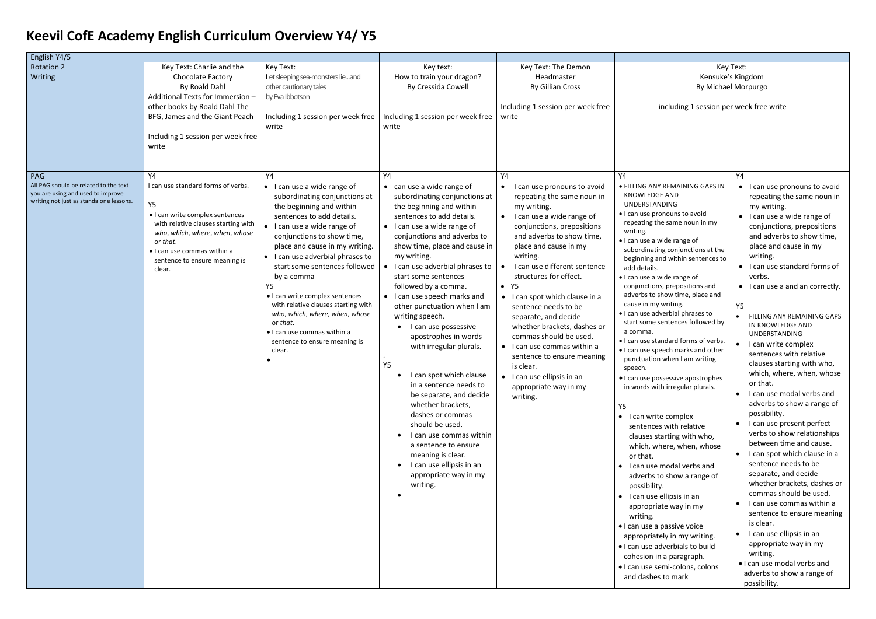## **Keevil CofE Academy English Curriculum Overview Y4/ Y5**

## Key Text: Kensuke's Kingdom By Michael Morpurgo

icluding 1 session per week free write

| English Y4/5                                                                                                                 |                                                                                                                                                                                                                                                  |                                                                                                                                                                                                                                                                                                                                                                                                                                                                                                                               |                                                                                                                                                                                                                                                                                                                                                                                                                                                                                                                                                                                                                                                                                                                                                                                                                   |                                                                                                                                                                                                                                                                                                                                                                                                                                                                                                                                                                                            |                                                                                                                                                                                                                                                                                                                                                                                                                                                                                                                                                                                                                                                                                                                                                                                                                                                                                                                                                                                                                                                                                                                        |
|------------------------------------------------------------------------------------------------------------------------------|--------------------------------------------------------------------------------------------------------------------------------------------------------------------------------------------------------------------------------------------------|-------------------------------------------------------------------------------------------------------------------------------------------------------------------------------------------------------------------------------------------------------------------------------------------------------------------------------------------------------------------------------------------------------------------------------------------------------------------------------------------------------------------------------|-------------------------------------------------------------------------------------------------------------------------------------------------------------------------------------------------------------------------------------------------------------------------------------------------------------------------------------------------------------------------------------------------------------------------------------------------------------------------------------------------------------------------------------------------------------------------------------------------------------------------------------------------------------------------------------------------------------------------------------------------------------------------------------------------------------------|--------------------------------------------------------------------------------------------------------------------------------------------------------------------------------------------------------------------------------------------------------------------------------------------------------------------------------------------------------------------------------------------------------------------------------------------------------------------------------------------------------------------------------------------------------------------------------------------|------------------------------------------------------------------------------------------------------------------------------------------------------------------------------------------------------------------------------------------------------------------------------------------------------------------------------------------------------------------------------------------------------------------------------------------------------------------------------------------------------------------------------------------------------------------------------------------------------------------------------------------------------------------------------------------------------------------------------------------------------------------------------------------------------------------------------------------------------------------------------------------------------------------------------------------------------------------------------------------------------------------------------------------------------------------------------------------------------------------------|
| Rotation 2<br>Writing                                                                                                        | Key Text: Charlie and the<br>Chocolate Factory<br>By Roald Dahl<br>Additional Texts for Immersion -<br>other books by Roald Dahl The<br>BFG, James and the Giant Peach<br>Including 1 session per week free<br>write                             | Key Text:<br>Let sleeping sea-monsters lieand<br>other cautionary tales<br>by Eva Ibbotson<br>Including 1 session per week free<br>write                                                                                                                                                                                                                                                                                                                                                                                      | Key text:<br>How to train your dragon?<br>By Cressida Cowell<br>Including 1 session per week free<br>write                                                                                                                                                                                                                                                                                                                                                                                                                                                                                                                                                                                                                                                                                                        | Key Text: The Demon<br>Headmaster<br><b>By Gillian Cross</b><br>Including 1 session per week free<br>write                                                                                                                                                                                                                                                                                                                                                                                                                                                                                 | Kє<br>By  <br>including 1 ses                                                                                                                                                                                                                                                                                                                                                                                                                                                                                                                                                                                                                                                                                                                                                                                                                                                                                                                                                                                                                                                                                          |
| PAG<br>All PAG should be related to the text<br>you are using and used to improve<br>writing not just as standalone lessons. | Y4<br>I can use standard forms of verbs.<br>Υ5<br>• I can write complex sentences<br>with relative clauses starting with<br>who, which, where, when, whose<br>or that.<br>· I can use commas within a<br>sentence to ensure meaning is<br>clear. | Y4<br>• I can use a wide range of<br>subordinating conjunctions at<br>the beginning and within<br>sentences to add details.<br>$\bullet$ I can use a wide range of<br>conjunctions to show time,<br>place and cause in my writing.<br>• I can use adverbial phrases to<br>start some sentences followed<br>by a comma<br>Y5<br>• I can write complex sentences<br>with relative clauses starting with<br>who, which, where, when, whose<br>or that.<br>· I can use commas within a<br>sentence to ensure meaning is<br>clear. | Y4<br>can use a wide range of<br>$\bullet$<br>subordinating conjunctions at<br>the beginning and within<br>sentences to add details.<br>I can use a wide range of<br>conjunctions and adverbs to<br>show time, place and cause in<br>my writing.<br>I can use adverbial phrases to<br>start some sentences<br>followed by a comma.<br>I can use speech marks and<br>other punctuation when I am<br>writing speech.<br>I can use possessive<br>apostrophes in words<br>with irregular plurals.<br>Y <sub>5</sub><br>I can spot which clause<br>$\bullet$<br>in a sentence needs to<br>be separate, and decide<br>whether brackets,<br>dashes or commas<br>should be used.<br>I can use commas within<br>a sentence to ensure<br>meaning is clear.<br>I can use ellipsis in an<br>appropriate way in my<br>writing. | Y4<br>I can use pronouns to avoid<br>$\bullet$<br>repeating the same noun in<br>my writing.<br>I can use a wide range of<br>conjunctions, prepositions<br>and adverbs to show time,<br>place and cause in my<br>writing.<br>I can use different sentence<br>structures for effect.<br>$\bullet$ Y5<br>• I can spot which clause in a<br>sentence needs to be<br>separate, and decide<br>whether brackets, dashes or<br>commas should be used.<br>• I can use commas within a<br>sentence to ensure meaning<br>is clear.<br>• I can use ellipsis in an<br>appropriate way in my<br>writing. | Y4<br>· FILLING ANY REMAINING GA<br><b>KNOWLEDGE AND</b><br><b>UNDERSTANDING</b><br>• I can use pronouns to avoid<br>repeating the same noun in<br>writing.<br>· I can use a wide range of<br>subordinating conjunctions<br>beginning and within senter<br>add details.<br>· I can use a wide range of<br>conjunctions, prepositions a<br>adverbs to show time, place<br>cause in my writing.<br>· I can use adverbial phrases t<br>start some sentences follow<br>a comma.<br>• I can use standard forms of<br>. I can use speech marks and<br>punctuation when I am writ<br>speech.<br>· I can use possessive apostro<br>in words with irregular plura<br>Y5<br>• I can write complex<br>sentences with relative<br>clauses starting with wh<br>which, where, when, wl<br>or that.<br>· I can use modal verbs a<br>adverbs to show a range<br>possibility.<br>$\bullet$ I can use ellipsis in an<br>appropriate way in my<br>writing.<br>• I can use a passive voice<br>appropriately in my writir<br>· I can use adverbials to bu<br>cohesion in a paragraph.<br>· I can use semi-colons, col<br>and dashes to mark |

| Υ4                                                                                                                                                                                                                                                                                                                                                                                                                                                                                                                                                                                                                                                                                                                                 | Y4                                                                                                                                                                                                                                                                                                                                                                                                                                                                                                                                                                                                                                                        |
|------------------------------------------------------------------------------------------------------------------------------------------------------------------------------------------------------------------------------------------------------------------------------------------------------------------------------------------------------------------------------------------------------------------------------------------------------------------------------------------------------------------------------------------------------------------------------------------------------------------------------------------------------------------------------------------------------------------------------------|-----------------------------------------------------------------------------------------------------------------------------------------------------------------------------------------------------------------------------------------------------------------------------------------------------------------------------------------------------------------------------------------------------------------------------------------------------------------------------------------------------------------------------------------------------------------------------------------------------------------------------------------------------------|
| • FILLING ANY REMAINING GAPS IN<br><b>KNOWLEDGE AND</b><br><b>UNDERSTANDING</b><br>· I can use pronouns to avoid<br>repeating the same noun in my<br>writing.<br>• I can use a wide range of<br>subordinating conjunctions at the<br>beginning and within sentences to<br>add details.<br>• I can use a wide range of<br>conjunctions, prepositions and<br>adverbs to show time, place and                                                                                                                                                                                                                                                                                                                                         | I can use pronouns to avoid<br>repeating the same noun in<br>my writing.<br>I can use a wide range of<br>$\bullet$<br>conjunctions, prepositions<br>and adverbs to show time,<br>place and cause in my<br>writing.<br>I can use standard forms of<br>verbs.<br>I can use a and an correctly.                                                                                                                                                                                                                                                                                                                                                              |
| cause in my writing.<br>. I can use adverbial phrases to<br>start some sentences followed by<br>a comma.<br>• I can use standard forms of verbs.<br>. I can use speech marks and other<br>punctuation when I am writing<br>speech.<br>• I can use possessive apostrophes<br>in words with irregular plurals.<br>Υ5<br>I can write complex<br>$\bullet$<br>sentences with relative<br>clauses starting with who,<br>which, where, when, whose<br>or that.<br>I can use modal verbs and<br>adverbs to show a range of<br>possibility.<br>I can use ellipsis in an<br>appropriate way in my<br>writing.<br>· I can use a passive voice<br>appropriately in my writing.<br>. I can use adverbials to build<br>cohesion in a paragraph. | <b>Y5</b><br>FILLING ANY REMAINING GAPS<br>IN KNOWLEDGE AND<br>UNDERSTANDING<br>I can write complex<br>sentences with relative<br>clauses starting with who,<br>which, where, when, whose<br>or that.<br>I can use modal verbs and<br>adverbs to show a range of<br>possibility.<br>I can use present perfect<br>verbs to show relationships<br>between time and cause.<br>I can spot which clause in a<br>sentence needs to be<br>separate, and decide<br>whether brackets, dashes or<br>commas should be used.<br>I can use commas within a<br>sentence to ensure meaning<br>is clear.<br>I can use ellipsis in an<br>appropriate way in my<br>writing. |
| · I can use semi-colons, colons<br>and dashes to mark                                                                                                                                                                                                                                                                                                                                                                                                                                                                                                                                                                                                                                                                              | . I can use modal verbs and<br>adverbs to show a range of<br>possibility.                                                                                                                                                                                                                                                                                                                                                                                                                                                                                                                                                                                 |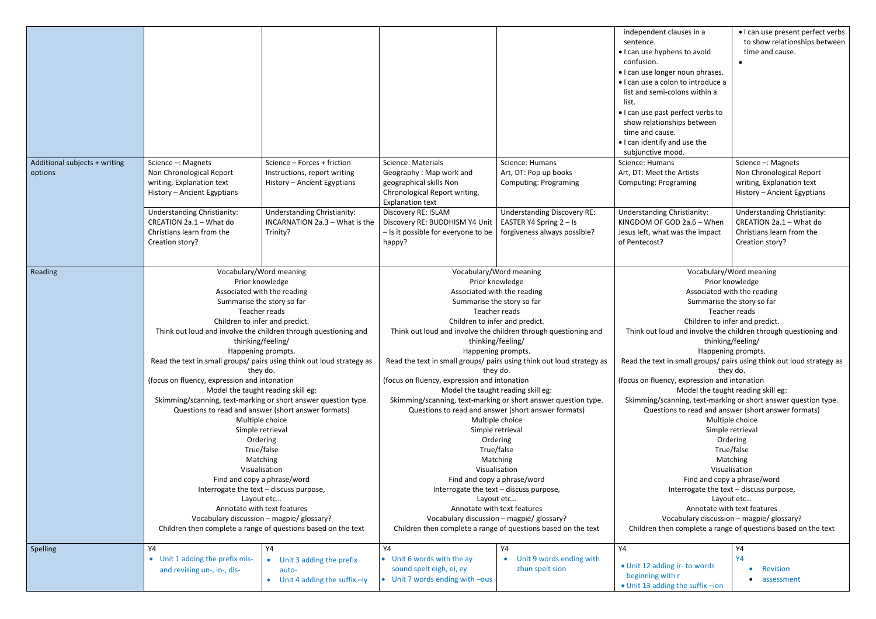|                                                       |                                                                                                                                                                                                                                            |                                                               |                                                                                                                                                                                                                         |                                                                                                            | independent clauses in a<br>sentence.<br>• I can use hyphens to avoid<br>confusion.<br>• I can use longer noun phrases.                 |
|-------------------------------------------------------|--------------------------------------------------------------------------------------------------------------------------------------------------------------------------------------------------------------------------------------------|---------------------------------------------------------------|-------------------------------------------------------------------------------------------------------------------------------------------------------------------------------------------------------------------------|------------------------------------------------------------------------------------------------------------|-----------------------------------------------------------------------------------------------------------------------------------------|
|                                                       |                                                                                                                                                                                                                                            |                                                               |                                                                                                                                                                                                                         |                                                                                                            | · I can use a colon to introduce a<br>list and semi-colons within a<br>list.                                                            |
|                                                       |                                                                                                                                                                                                                                            |                                                               |                                                                                                                                                                                                                         |                                                                                                            | • I can use past perfect verbs to<br>show relationships between<br>time and cause.<br>• I can identify and use the<br>subjunctive mood. |
| Additional subjects + writing                         | Science -: Magnets                                                                                                                                                                                                                         | Science - Forces + friction                                   | <b>Science: Materials</b>                                                                                                                                                                                               | Science: Humans                                                                                            | Science: Humans                                                                                                                         |
| options                                               | Non Chronological Report<br>writing, Explanation text<br>History - Ancient Egyptians                                                                                                                                                       | Instructions, report writing<br>History - Ancient Egyptians   | Geography: Map work and<br>geographical skills Non<br>Chronological Report writing,<br><b>Explanation text</b>                                                                                                          | Art, DT: Pop up books<br><b>Computing: Programing</b>                                                      | Art, DT: Meet the Artists<br><b>Computing: Programing</b>                                                                               |
|                                                       | Understanding Christianity:                                                                                                                                                                                                                | <b>Understanding Christianity:</b>                            | Discovery RE: ISLAM                                                                                                                                                                                                     | <b>Understanding Discovery RE:</b>                                                                         | <b>Understanding Christianity:</b>                                                                                                      |
|                                                       | CREATION 2a.1 - What do                                                                                                                                                                                                                    | INCARNATION 2a.3 - What is the                                | Discovery RE: BUDDHISM Y4 Unit                                                                                                                                                                                          | EASTER Y4 Spring 2 - Is                                                                                    | KINGDOM OF GOD 2a.6 - When                                                                                                              |
|                                                       | Christians learn from the<br>Creation story?                                                                                                                                                                                               | Trinity?                                                      | - Is it possible for everyone to be<br>happy?                                                                                                                                                                           | forgiveness always possible?                                                                               | Jesus left, what was the impact<br>of Pentecost?                                                                                        |
|                                                       |                                                                                                                                                                                                                                            |                                                               |                                                                                                                                                                                                                         |                                                                                                            |                                                                                                                                         |
| Reading                                               | Vocabulary/Word meaning<br>Prior knowledge<br>Associated with the reading                                                                                                                                                                  |                                                               | Vocabulary/Word meaning<br>Prior knowledge                                                                                                                                                                              |                                                                                                            | Vocabulary/                                                                                                                             |
|                                                       |                                                                                                                                                                                                                                            |                                                               |                                                                                                                                                                                                                         |                                                                                                            | Prior k<br>Associated v                                                                                                                 |
|                                                       |                                                                                                                                                                                                                                            |                                                               | Associated with the reading<br>Summarise the story so far                                                                                                                                                               |                                                                                                            | Summarise                                                                                                                               |
|                                                       |                                                                                                                                                                                                                                            | Summarise the story so far<br>Teacher reads                   |                                                                                                                                                                                                                         | Teacher reads                                                                                              |                                                                                                                                         |
|                                                       |                                                                                                                                                                                                                                            | Children to infer and predict.                                |                                                                                                                                                                                                                         | Children to infer and predict.                                                                             | Teach<br>Children to in                                                                                                                 |
|                                                       | Think out loud and involve the children through questioning and<br>thinking/feeling/<br>Happening prompts.                                                                                                                                 |                                                               | Think out loud and involve the children through questioning and<br>thinking/feeling/<br>Happening prompts.                                                                                                              |                                                                                                            | Think out loud and involve the                                                                                                          |
|                                                       |                                                                                                                                                                                                                                            |                                                               |                                                                                                                                                                                                                         |                                                                                                            | thinkin                                                                                                                                 |
|                                                       |                                                                                                                                                                                                                                            |                                                               |                                                                                                                                                                                                                         |                                                                                                            | Happeni                                                                                                                                 |
|                                                       | Read the text in small groups/ pairs using think out loud strategy as                                                                                                                                                                      |                                                               | Read the text in small groups/ pairs using think out loud strategy as                                                                                                                                                   |                                                                                                            | Read the text in small groups/ p                                                                                                        |
|                                                       | they do.<br>(focus on fluency, expression and intonation<br>Model the taught reading skill eg:<br>Skimming/scanning, text-marking or short answer question type.<br>Questions to read and answer (short answer formats)<br>Multiple choice |                                                               | they do.<br>(focus on fluency, expression and intonation<br>Model the taught reading skill eg:<br>Skimming/scanning, text-marking or short answer question type.<br>Questions to read and answer (short answer formats) |                                                                                                            | th                                                                                                                                      |
|                                                       |                                                                                                                                                                                                                                            |                                                               |                                                                                                                                                                                                                         |                                                                                                            | (focus on fluency, expression and                                                                                                       |
|                                                       |                                                                                                                                                                                                                                            |                                                               |                                                                                                                                                                                                                         |                                                                                                            | Model the taug                                                                                                                          |
|                                                       |                                                                                                                                                                                                                                            |                                                               |                                                                                                                                                                                                                         |                                                                                                            | Skimming/scanning, text-mark                                                                                                            |
|                                                       |                                                                                                                                                                                                                                            |                                                               |                                                                                                                                                                                                                         | Multiple choice                                                                                            | Questions to read and an<br>Multip                                                                                                      |
|                                                       |                                                                                                                                                                                                                                            | Simple retrieval                                              |                                                                                                                                                                                                                         | Simple retrieval                                                                                           | Simple                                                                                                                                  |
|                                                       |                                                                                                                                                                                                                                            | Ordering                                                      | Ordering                                                                                                                                                                                                                |                                                                                                            | Or                                                                                                                                      |
|                                                       | True/false                                                                                                                                                                                                                                 |                                                               |                                                                                                                                                                                                                         | True/false                                                                                                 | Tru                                                                                                                                     |
| Matching<br>Visualisation                             |                                                                                                                                                                                                                                            |                                                               | Matching<br>Visualisation                                                                                                                                                                                               |                                                                                                            | Ma                                                                                                                                      |
|                                                       |                                                                                                                                                                                                                                            |                                                               |                                                                                                                                                                                                                         |                                                                                                            | Visua                                                                                                                                   |
|                                                       | Find and copy a phrase/word                                                                                                                                                                                                                |                                                               | Find and copy a phrase/word                                                                                                                                                                                             |                                                                                                            | Find and cop                                                                                                                            |
| Interrogate the text - discuss purpose,<br>Layout etc |                                                                                                                                                                                                                                            |                                                               | Interrogate the text - discuss purpose,                                                                                                                                                                                 |                                                                                                            | Interrogate the te                                                                                                                      |
|                                                       |                                                                                                                                                                                                                                            | Layout etc                                                    |                                                                                                                                                                                                                         | Layo                                                                                                       |                                                                                                                                         |
|                                                       | Annotate with text features<br>Vocabulary discussion - magpie/ glossary?                                                                                                                                                                   |                                                               | Annotate with text features                                                                                                                                                                                             |                                                                                                            | Annotate wi                                                                                                                             |
|                                                       |                                                                                                                                                                                                                                            | Children then complete a range of questions based on the text |                                                                                                                                                                                                                         | Vocabulary discussion - magpie/ glossary?<br>Children then complete a range of questions based on the text | Vocabulary discussi<br>Children then complete a rang                                                                                    |
| Spelling                                              | Y4                                                                                                                                                                                                                                         | Υ4                                                            | Y4                                                                                                                                                                                                                      | Υ4                                                                                                         | Y4                                                                                                                                      |
|                                                       | Unit 1 adding the prefix mis-<br>$\bullet$                                                                                                                                                                                                 | • Unit 3 adding the prefix                                    | • Unit 6 words with the ay                                                                                                                                                                                              | Unit 9 words ending with                                                                                   |                                                                                                                                         |
|                                                       | and revising un-, in-, dis-                                                                                                                                                                                                                | auto-                                                         | sound spelt eigh, ei, ey                                                                                                                                                                                                | zhun spelt sion                                                                                            | • Unit 12 adding ir- to words                                                                                                           |
|                                                       |                                                                                                                                                                                                                                            | $\bullet$ Unit 4 adding the suffix $-ly$                      | • Unit 7 words ending with -ous                                                                                                                                                                                         |                                                                                                            | beginning with r<br>• Unit 13 adding the suffix -ion                                                                                    |

| independent clauses in a<br>sentence.<br>. I can use hyphens to avoid                                                 | • I can use present perfect verbs<br>to show relationships between<br>time and cause. |  |  |
|-----------------------------------------------------------------------------------------------------------------------|---------------------------------------------------------------------------------------|--|--|
| confusion.<br>. I can use longer noun phrases.<br>. I can use a colon to introduce a                                  |                                                                                       |  |  |
| list and semi-colons within a<br>list.<br>. I can use past perfect verbs to                                           |                                                                                       |  |  |
| show relationships between<br>time and cause.<br>. I can identify and use the                                         |                                                                                       |  |  |
| subjunctive mood.                                                                                                     |                                                                                       |  |  |
| <b>Science: Humans</b>                                                                                                | Science -: Magnets                                                                    |  |  |
| Art, DT: Meet the Artists                                                                                             | Non Chronological Report                                                              |  |  |
| <b>Computing: Programing</b>                                                                                          | writing, Explanation text<br>History - Ancient Egyptians                              |  |  |
| Understanding Christianity:<br>KINGDOM OF GOD 2a.6 - When                                                             | Understanding Christianity:<br>CREATION 2a.1 - What do                                |  |  |
| Jesus left, what was the impact                                                                                       | Christians learn from the                                                             |  |  |
| of Pentecost?                                                                                                         | Creation story?                                                                       |  |  |
| Vocabulary/Word meaning<br>Prior knowledge                                                                            |                                                                                       |  |  |
| Associated with the reading                                                                                           |                                                                                       |  |  |
| Summarise the story so far                                                                                            |                                                                                       |  |  |
| Teacher reads                                                                                                         |                                                                                       |  |  |
| Children to infer and predict.                                                                                        |                                                                                       |  |  |
| Think out loud and involve the children through questioning and<br>thinking/feeling/                                  |                                                                                       |  |  |
| Happening prompts.                                                                                                    |                                                                                       |  |  |
| Read the text in small groups/ pairs using think out loud strategy as<br>they do.                                     |                                                                                       |  |  |
| (focus on fluency, expression and intonation<br>Model the taught reading skill eg:                                    |                                                                                       |  |  |
| Skimming/scanning, text-marking or short answer question type.<br>Questions to read and answer (short answer formats) |                                                                                       |  |  |
| Multiple choice                                                                                                       |                                                                                       |  |  |
| Simple retrieval                                                                                                      |                                                                                       |  |  |
| Ordering<br>True/false                                                                                                |                                                                                       |  |  |
| Matching                                                                                                              |                                                                                       |  |  |
| Visualisation                                                                                                         |                                                                                       |  |  |
| Find and copy a phrase/word                                                                                           |                                                                                       |  |  |
| Interrogate the text - discuss purpose,                                                                               |                                                                                       |  |  |
| Layout etc                                                                                                            |                                                                                       |  |  |
| Annotate with text features                                                                                           |                                                                                       |  |  |
| Vocabulary discussion - magpie/ glossary?<br>Children then complete a range of questions based on the text            |                                                                                       |  |  |
| Y4                                                                                                                    | Y4<br>Y4                                                                              |  |  |
| • Unit 12 adding ir- to words                                                                                         | <b>Revision</b>                                                                       |  |  |
| beginning with r                                                                                                      | assessment                                                                            |  |  |